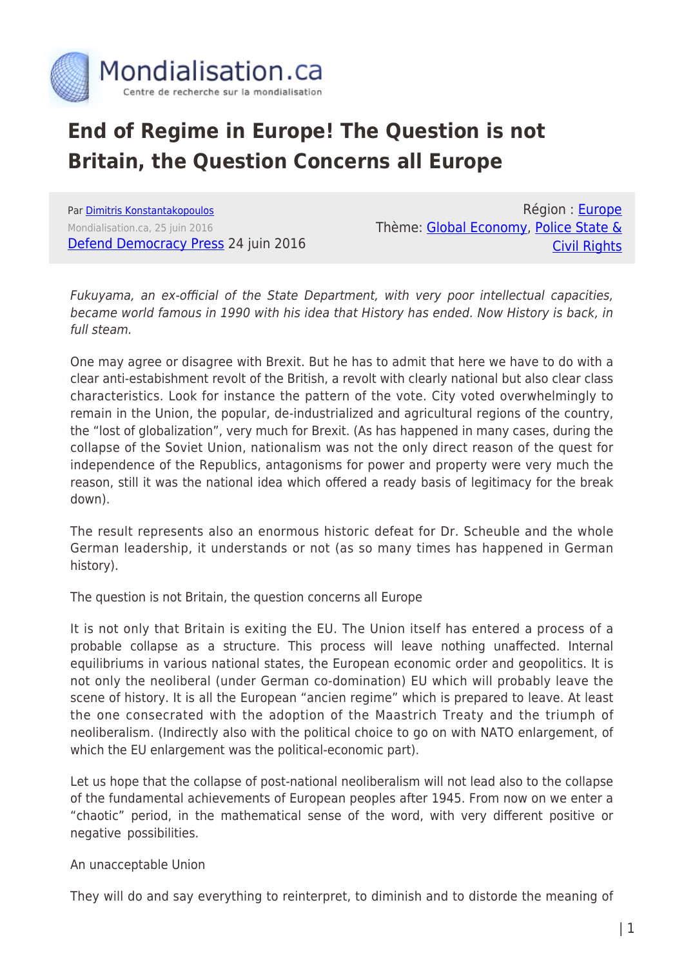

## **End of Regime in Europe! The Question is not Britain, the Question Concerns all Europe**

Par [Dimitris Konstantakopoulos](https://www.mondialisation.ca/author/dimitris-konstantakopoulos) Mondialisation.ca, 25 juin 2016 [Defend Democracy Press](http://www.defenddemocracy.press/end-regime-europe/) 24 juin 2016

Région : [Europe](https://www.mondialisation.ca/region/europe) Thème: [Global Economy](https://www.mondialisation.ca/theme/global-economy), [Police State &](https://www.mondialisation.ca/theme/police-state-civil-rights) [Civil Rights](https://www.mondialisation.ca/theme/police-state-civil-rights)

Fukuyama, an ex-official of the State Department, with very poor intellectual capacities, became world famous in 1990 with his idea that History has ended. Now History is back, in full steam.

One may agree or disagree with Brexit. But he has to admit that here we have to do with a clear anti-estabishment revolt of the British, a revolt with clearly national but also clear class characteristics. Look for instance the pattern of the vote. City voted overwhelmingly to remain in the Union, the popular, de-industrialized and agricultural regions of the country, the "lost of globalization", very much for Brexit. (As has happened in many cases, during the collapse of the Soviet Union, nationalism was not the only direct reason of the quest for independence of the Republics, antagonisms for power and property were very much the reason, still it was the national idea which offered a ready basis of legitimacy for the break down).

The result represents also an enormous historic defeat for Dr. Scheuble and the whole German leadership, it understands or not (as so many times has happened in German history).

The question is not Britain, the question concerns all Europe

It is not only that Britain is exiting the EU. The Union itself has entered a process of a probable collapse as a structure. This process will leave nothing unaffected. Internal equilibriums in various national states, the European economic order and geopolitics. It is not only the neoliberal (under German co-domination) EU which will probably leave the scene of history. It is all the European "ancien regime" which is prepared to leave. At least the one consecrated with the adoption of the Maastrich Treaty and the triumph of neoliberalism. (Indirectly also with the political choice to go on with NATO enlargement, of which the EU enlargement was the political-economic part).

Let us hope that the collapse of post-national neoliberalism will not lead also to the collapse of the fundamental achievements of European peoples after 1945. From now on we enter a "chaotic" period, in the mathematical sense of the word, with very different positive or negative possibilities.

## An unacceptable Union

They will do and say everything to reinterpret, to diminish and to distorde the meaning of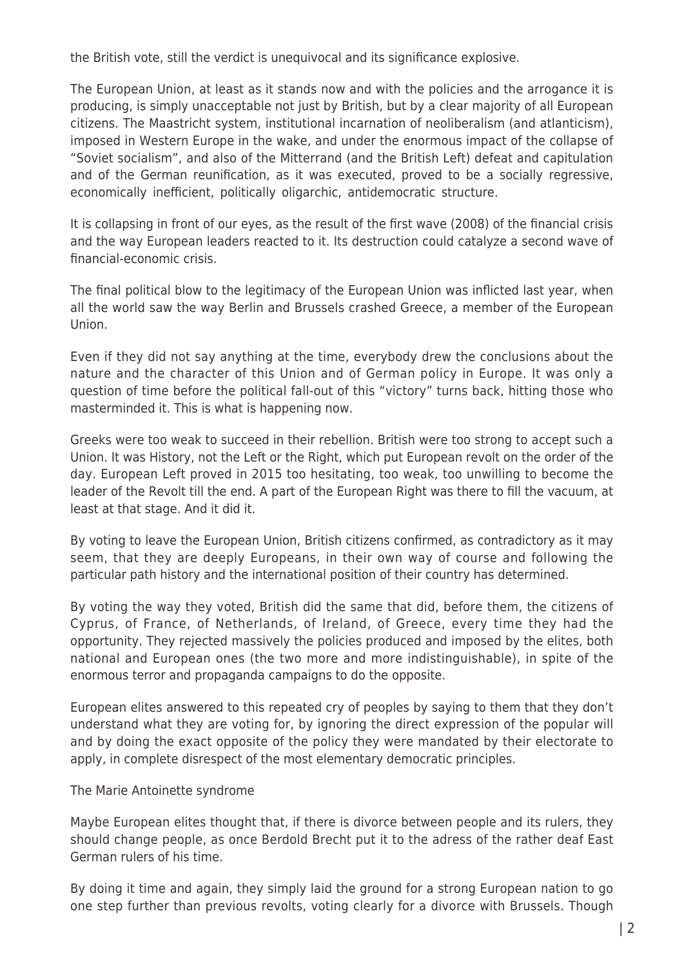the British vote, still the verdict is unequivocal and its significance explosive.

The European Union, at least as it stands now and with the policies and the arrogance it is producing, is simply unacceptable not just by British, but by a clear majority of all European citizens. The Maastricht system, institutional incarnation of neoliberalism (and atlanticism), imposed in Western Europe in the wake, and under the enormous impact of the collapse of "Soviet socialism", and also of the Mitterrand (and the British Left) defeat and capitulation and of the German reunification, as it was executed, proved to be a socially regressive, economically inefficient, politically oligarchic, antidemocratic structure.

It is collapsing in front of our eyes, as the result of the first wave (2008) of the financial crisis and the way European leaders reacted to it. Its destruction could catalyze a second wave of financial-economic crisis.

The final political blow to the legitimacy of the European Union was inflicted last year, when all the world saw the way Berlin and Brussels crashed Greece, a member of the European Union.

Even if they did not say anything at the time, everybody drew the conclusions about the nature and the character of this Union and of German policy in Europe. It was only a question of time before the political fall-out of this "victory" turns back, hitting those who masterminded it. This is what is happening now.

Greeks were too weak to succeed in their rebellion. British were too strong to accept such a Union. It was History, not the Left or the Right, which put European revolt on the order of the day. European Left proved in 2015 too hesitating, too weak, too unwilling to become the leader of the Revolt till the end. A part of the European Right was there to fill the vacuum, at least at that stage. And it did it.

By voting to leave the European Union, British citizens confirmed, as contradictory as it may seem, that they are deeply Europeans, in their own way of course and following the particular path history and the international position of their country has determined.

By voting the way they voted, British did the same that did, before them, the citizens of Cyprus, of France, of Netherlands, of Ireland, of Greece, every time they had the opportunity. They rejected massively the policies produced and imposed by the elites, both national and European ones (the two more and more indistinguishable), in spite of the enormous terror and propaganda campaigns to do the opposite.

European elites answered to this repeated cry of peoples by saying to them that they don't understand what they are voting for, by ignoring the direct expression of the popular will and by doing the exact opposite of the policy they were mandated by their electorate to apply, in complete disrespect of the most elementary democratic principles.

## The Marie Antoinette syndrome

Maybe European elites thought that, if there is divorce between people and its rulers, they should change people, as once Berdold Brecht put it to the adress of the rather deaf East German rulers of his time.

By doing it time and again, they simply laid the ground for a strong European nation to go one step further than previous revolts, voting clearly for a divorce with Brussels. Though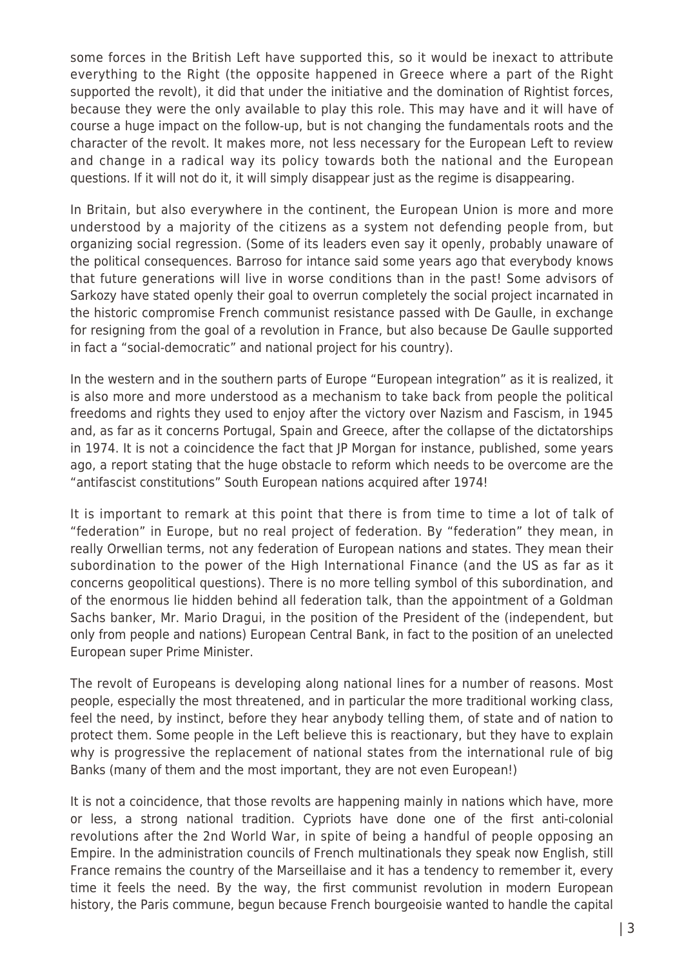some forces in the British Left have supported this, so it would be inexact to attribute everything to the Right (the opposite happened in Greece where a part of the Right supported the revolt), it did that under the initiative and the domination of Rightist forces, because they were the only available to play this role. This may have and it will have of course a huge impact on the follow-up, but is not changing the fundamentals roots and the character of the revolt. It makes more, not less necessary for the European Left to review and change in a radical way its policy towards both the national and the European questions. If it will not do it, it will simply disappear just as the regime is disappearing.

In Britain, but also everywhere in the continent, the European Union is more and more understood by a majority of the citizens as a system not defending people from, but organizing social regression. (Some of its leaders even say it openly, probably unaware of the political consequences. Barroso for intance said some years ago that everybody knows that future generations will live in worse conditions than in the past! Some advisors of Sarkozy have stated openly their goal to overrun completely the social project incarnated in the historic compromise French communist resistance passed with De Gaulle, in exchange for resigning from the goal of a revolution in France, but also because De Gaulle supported in fact a "social-democratic" and national project for his country).

In the western and in the southern parts of Europe "European integration" as it is realized, it is also more and more understood as a mechanism to take back from people the political freedoms and rights they used to enjoy after the victory over Nazism and Fascism, in 1945 and, as far as it concerns Portugal, Spain and Greece, after the collapse of the dictatorships in 1974. It is not a coincidence the fact that JP Morgan for instance, published, some years ago, a report stating that the huge obstacle to reform which needs to be overcome are the "antifascist constitutions" South European nations acquired after 1974!

It is important to remark at this point that there is from time to time a lot of talk of "federation" in Europe, but no real project of federation. By "federation" they mean, in really Orwellian terms, not any federation of European nations and states. They mean their subordination to the power of the High International Finance (and the US as far as it concerns geopolitical questions). There is no more telling symbol of this subordination, and of the enormous lie hidden behind all federation talk, than the appointment of a Goldman Sachs banker, Mr. Mario Dragui, in the position of the President of the (independent, but only from people and nations) European Central Bank, in fact to the position of an unelected European super Prime Minister.

The revolt of Europeans is developing along national lines for a number of reasons. Most people, especially the most threatened, and in particular the more traditional working class, feel the need, by instinct, before they hear anybody telling them, of state and of nation to protect them. Some people in the Left believe this is reactionary, but they have to explain why is progressive the replacement of national states from the international rule of big Banks (many of them and the most important, they are not even European!)

It is not a coincidence, that those revolts are happening mainly in nations which have, more or less, a strong national tradition. Cypriots have done one of the first anti-colonial revolutions after the 2nd World War, in spite of being a handful of people opposing an Empire. In the administration councils of French multinationals they speak now English, still France remains the country of the Marseillaise and it has a tendency to remember it, every time it feels the need. By the way, the first communist revolution in modern European history, the Paris commune, begun because French bourgeoisie wanted to handle the capital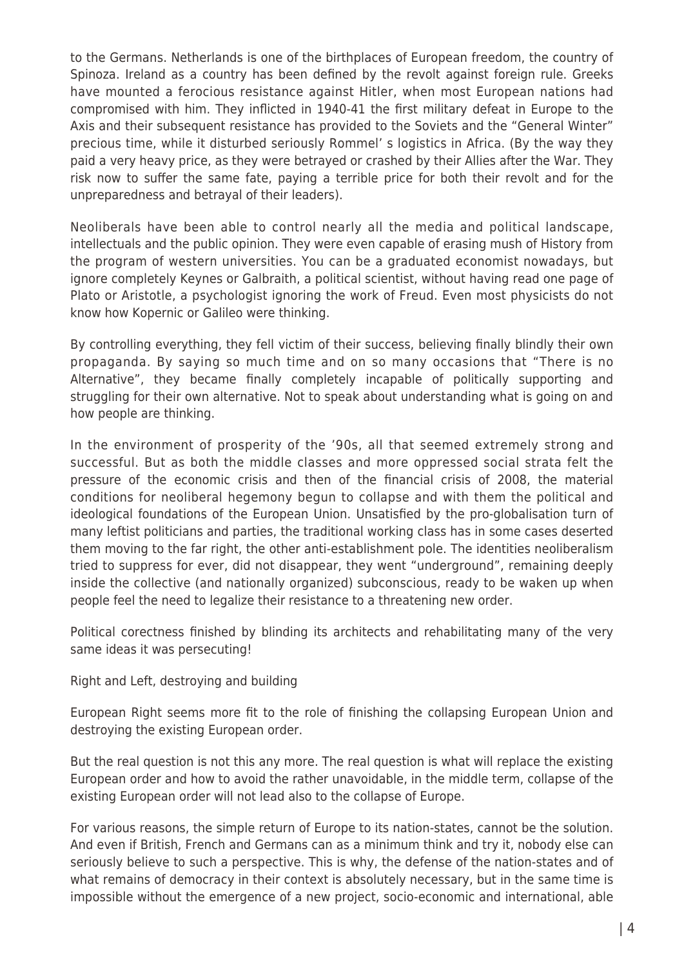to the Germans. Netherlands is one of the birthplaces of European freedom, the country of Spinoza. Ireland as a country has been defined by the revolt against foreign rule. Greeks have mounted a ferocious resistance against Hitler, when most European nations had compromised with him. They inflicted in 1940-41 the first military defeat in Europe to the Axis and their subsequent resistance has provided to the Soviets and the "General Winter" precious time, while it disturbed seriously Rommel' s logistics in Africa. (By the way they paid a very heavy price, as they were betrayed or crashed by their Allies after the War. They risk now to suffer the same fate, paying a terrible price for both their revolt and for the unpreparedness and betrayal of their leaders).

Neoliberals have been able to control nearly all the media and political landscape, intellectuals and the public opinion. They were even capable of erasing mush of History from the program of western universities. You can be a graduated economist nowadays, but ignore completely Keynes or Galbraith, a political scientist, without having read one page of Plato or Aristotle, a psychologist ignoring the work of Freud. Even most physicists do not know how Kopernic or Galileo were thinking.

By controlling everything, they fell victim of their success, believing finally blindly their own propaganda. By saying so much time and on so many occasions that "There is no Alternative", they became finally completely incapable of politically supporting and struggling for their own alternative. Not to speak about understanding what is going on and how people are thinking.

In the environment of prosperity of the '90s, all that seemed extremely strong and successful. But as both the middle classes and more oppressed social strata felt the pressure of the economic crisis and then of the financial crisis of 2008, the material conditions for neoliberal hegemony begun to collapse and with them the political and ideological foundations of the European Union. Unsatisfied by the pro-globalisation turn of many leftist politicians and parties, the traditional working class has in some cases deserted them moving to the far right, the other anti-establishment pole. The identities neoliberalism tried to suppress for ever, did not disappear, they went "underground", remaining deeply inside the collective (and nationally organized) subconscious, ready to be waken up when people feel the need to legalize their resistance to a threatening new order.

Political corectness finished by blinding its architects and rehabilitating many of the very same ideas it was persecuting!

Right and Left, destroying and building

European Right seems more fit to the role of finishing the collapsing European Union and destroying the existing European order.

But the real question is not this any more. The real question is what will replace the existing European order and how to avoid the rather unavoidable, in the middle term, collapse of the existing European order will not lead also to the collapse of Europe.

For various reasons, the simple return of Europe to its nation-states, cannot be the solution. And even if British, French and Germans can as a minimum think and try it, nobody else can seriously believe to such a perspective. This is why, the defense of the nation-states and of what remains of democracy in their context is absolutely necessary, but in the same time is impossible without the emergence of a new project, socio-economic and international, able